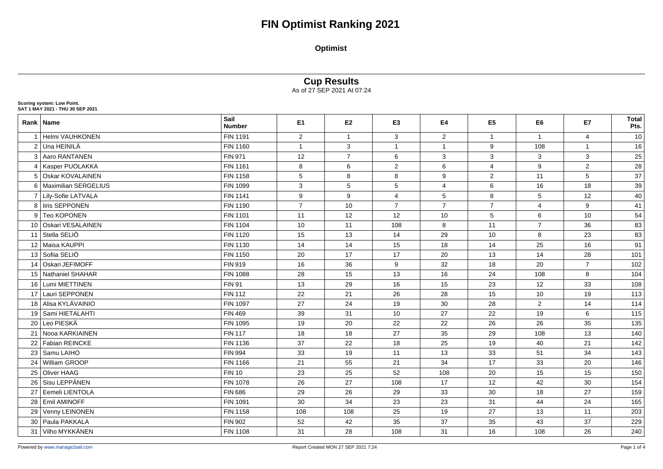#### **Optimist**

#### **Cup Results**

As of 27 SEP 2021 At 07:24

|    | Rank Name               | Sail<br><b>Number</b> | E <sub>1</sub> | E <sub>2</sub> | E <sub>3</sub> | E4             | E <sub>5</sub> | E6             | E7             | <b>Total</b><br>Pts. |
|----|-------------------------|-----------------------|----------------|----------------|----------------|----------------|----------------|----------------|----------------|----------------------|
| 1  | Helmi VAUHKONEN         | <b>FIN 1191</b>       | $\overline{2}$ | $\mathbf{1}$   | 3              | $\overline{2}$ | $\mathbf{1}$   | $\overline{1}$ | $\overline{4}$ | 10                   |
|    | 2 Una HEINILÄ           | <b>FIN 1160</b>       | $\mathbf{1}$   | 3              | $\mathbf{1}$   | $\mathbf{1}$   | 9              | 108            | $\mathbf{1}$   | 16                   |
|    | 3 Aaro RANTANEN         | FIN 971               | 12             | $\overline{7}$ | 6              | 3              | 3              | 3              | 3              | 25                   |
|    | 4   Kasper PUOLAKKA     | FIN 1161              | 8              | $\,6\,$        | $\overline{2}$ | 6              | 4              | 9              | $\overline{2}$ | 28                   |
| 5  | <b>Oskar KOVALAINEN</b> | <b>FIN 1158</b>       | 5              | 8              | 8              | 9              | $\overline{2}$ | 11             | 5              | 37                   |
|    | 6 Maximilian SERGELIUS  | <b>FIN 1099</b>       | $\mathbf{3}$   | 5              | $\overline{5}$ | 4              | 6              | 16             | 18             | 39                   |
|    | 7 Lily-Sofie LATVALA    | <b>FIN 1141</b>       | 9              | 9              | $\overline{4}$ | 5              | 8              | 5              | 12             | 40                   |
|    | 8 I liris SEPPONEN      | <b>FIN 1190</b>       | $\overline{7}$ | 10             | $\overline{7}$ | $\overline{7}$ | $\overline{7}$ | $\overline{4}$ | 9              | 41                   |
|    | 9 Teo KOPONEN           | <b>FIN 1101</b>       | 11             | 12             | 12             | 10             | $\sqrt{5}$     | $6\phantom{1}$ | 10             | 54                   |
|    | 10 Oskari VESALAINEN    | <b>FIN 1104</b>       | 10             | 11             | 108            | 8              | 11             | $\overline{7}$ | 36             | 83                   |
| 11 | Stella SELIÖ            | <b>FIN 1120</b>       | 15             | 13             | 14             | 29             | 10             | 8              | 23             | 83                   |
|    | 12 Maisa KAUPPI         | FIN 1130              | 14             | 14             | 15             | 18             | 14             | 25             | 16             | 91                   |
|    | 13 Sofiia SELIÖ         | <b>FIN 1150</b>       | 20             | 17             | 17             | 20             | 13             | 14             | 28             | 101                  |
| 14 | Oskari JEFIMOFF         | <b>FIN 919</b>        | 16             | 36             | 9              | 32             | 18             | 20             | $\overline{7}$ | 102                  |
|    | 15 Nathaniel SHAHAR     | <b>FIN 1088</b>       | 28             | 15             | 13             | 16             | 24             | 108            | 8              | 104                  |
|    | 16 Lumi MIETTINEN       | <b>FIN 91</b>         | 13             | 29             | 16             | 15             | 23             | 12             | 33             | 108                  |
| 17 | Lauri SEPPONEN          | <b>FIN 112</b>        | 22             | 21             | 26             | 28             | 15             | 10             | 19             | 113                  |
|    | 18 Alisa KYLÄVAINIO     | <b>FIN 1097</b>       | 27             | 24             | 19             | 30             | 28             | $\overline{2}$ | 14             | 114                  |
| 19 | Sami HIETALAHTI         | <b>FIN 469</b>        | 39             | 31             | 10             | 27             | 22             | 19             | 6              | $\frac{115}{115}$    |
| 20 | Leo PIESKÄ              | <b>FIN 1095</b>       | 19             | 20             | 22             | 22             | 26             | 26             | 35             | 135                  |
| 21 | Nooa KARKIAINEN         | <b>FIN 117</b>        | 18             | 18             | 27             | 35             | 29             | 108            | 13             | 140                  |
| 22 | <b>Fabian REINCKE</b>   | <b>FIN 1136</b>       | 37             | 22             | 18             | 25             | 19             | 40             | 21             | 142                  |
| 23 | Samu LAIHO              | <b>FIN 994</b>        | 33             | 19             | 11             | 13             | 33             | 51             | 34             | 143                  |
| 24 | <b>William GROOP</b>    | <b>FIN 1166</b>       | 21             | 55             | 21             | 34             | 17             | 33             | 20             | 146                  |
| 25 | <b>Oliver HAAG</b>      | <b>FIN 10</b>         | 23             | 25             | 52             | 108            | 20             | 15             | 15             | 150                  |
| 26 | Sisu LEPPÄNEN           | <b>FIN 1078</b>       | 26             | 27             | 108            | 17             | 12             | 42             | 30             | 154                  |
| 27 | Eemeli LIENTOLA         | <b>FIN 686</b>        | 29             | 26             | 29             | 33             | 30             | 18             | 27             | 159                  |
| 28 | <b>Emil AMINOFF</b>     | FIN 1091              | 30             | 34             | 23             | 23             | 31             | 44             | 24             | 165                  |
| 29 | Venny LEINONEN          | <b>FIN 1158</b>       | 108            | 108            | 25             | 19             | 27             | 13             | 11             | 203                  |
|    | 30 Paula PAKKALA        | FIN 902               | 52             | 42             | 35             | 37             | 35             | 43             | 37             | 229                  |

**Scoring system: Low Point. SAT 1 MAY 2021 - THU 30 SEP 2021**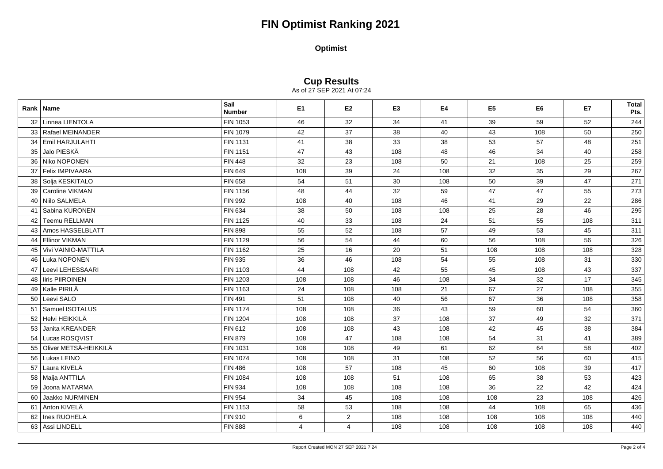# **FIN Optimist Ranking 2021**

**Optimist**

**Cup Results**

As of 27 SEP 2021 At 07:24

|    | Rank   Name            | Sail<br>Number  | E1             | E <sub>2</sub> | E <sub>3</sub> | <b>E4</b> | E <sub>5</sub> | E <sub>6</sub> | <b>E7</b> | <b>Total</b><br>Pts. |
|----|------------------------|-----------------|----------------|----------------|----------------|-----------|----------------|----------------|-----------|----------------------|
|    | 32 Linnea LIENTOLA     | FIN 1053        | 46             | 32             | 34             | 41        | 39             | 59             | 52        | 244                  |
|    | 33 Rafael MEINANDER    | <b>FIN 1079</b> | 42             | 37             | 38             | 40        | 43             | 108            | 50        | 250                  |
| 34 | <b>Emil HARJULAHTI</b> | FIN 1131        | 41             | 38             | 33             | 38        | 53             | 57             | 48        | 251                  |
| 35 | Jalo PIESKÄ            | <b>FIN 1151</b> | 47             | 43             | 108            | 48        | 46             | 34             | 40        | 258                  |
| 36 | Niko NOPONEN           | <b>FIN 448</b>  | 32             | 23             | 108            | 50        | 21             | 108            | 25        | 259                  |
| 37 | Felix IMPIVAARA        | <b>FIN 649</b>  | 108            | 39             | 24             | 108       | 32             | 35             | 29        | 267                  |
|    | 38 Solja KESKITALO     | <b>FIN 658</b>  | 54             | 51             | 30             | 108       | 50             | 39             | 47        | 271                  |
|    | 39 Caroline VIKMAN     | FIN 1156        | 48             | 44             | 32             | 59        | 47             | 47             | 55        | 273                  |
| 40 | Niilo SALMELA          | <b>FIN 992</b>  | 108            | 40             | 108            | 46        | 41             | 29             | 22        | 286                  |
| 41 | Sabina KURONEN         | FIN 634         | 38             | 50             | 108            | 108       | 25             | 28             | 46        | 295                  |
| 42 | <b>Teemu RELLMAN</b>   | <b>FIN 1125</b> | 40             | 33             | 108            | 24        | 51             | 55             | 108       | 311                  |
| 43 | Amos HASSELBLATT       | <b>FIN 898</b>  | 55             | 52             | 108            | 57        | 49             | 53             | 45        | 311                  |
| 44 | <b>Ellinor VIKMAN</b>  | FIN 1129        | 56             | 54             | 44             | 60        | 56             | 108            | 56        | 326                  |
| 45 | Vivi VAINIO-MATTILA    | FIN 1162        | 25             | 16             | 20             | 51        | 108            | 108            | 108       | 328                  |
| 46 | Luka NOPONEN           | <b>FIN 935</b>  | 36             | 46             | 108            | 54        | 55             | 108            | 31        | 330                  |
| 47 | Leevi LEHESSAARI       | FIN 1103        | 44             | 108            | 42             | 55        | 45             | 108            | 43        | 337                  |
| 48 | liris PIIROINEN        | <b>FIN 1203</b> | 108            | 108            | 46             | 108       | 34             | 32             | 17        | 345                  |
|    | 49 Kalle PIRILÄ        | FIN 1163        | 24             | 108            | 108            | 21        | 67             | 27             | 108       | 355                  |
|    | 50 Leevi SALO          | <b>FIN 491</b>  | 51             | 108            | 40             | 56        | 67             | 36             | 108       | 358                  |
|    | 51   Samuel ISOTALUS   | <b>FIN 1174</b> | 108            | 108            | 36             | 43        | 59             | 60             | 54        | 360                  |
| 52 | Helvi HEIKKILÄ         | <b>FIN 1204</b> | 108            | 108            | 37             | 108       | 37             | 49             | 32        | 371                  |
| 53 | Janita KREANDER        | FIN 612         | 108            | 108            | 43             | 108       | 42             | 45             | 38        | 384                  |
|    | 54 Lucas ROSQVIST      | <b>FIN 879</b>  | 108            | 47             | 108            | 108       | 54             | 31             | 41        | 389                  |
| 55 | Oliver METSÄ-HEIKKILÄ  | FIN 1031        | 108            | 108            | 49             | 61        | 62             | 64             | 58        | 402                  |
|    | 56 Lukas LEINO         | <b>FIN 1074</b> | 108            | 108            | 31             | 108       | 52             | 56             | 60        | 415                  |
| 57 | Laura KIVELÄ           | <b>FIN 486</b>  | 108            | 57             | 108            | 45        | 60             | 108            | 39        | 417                  |
| 58 | Maija ANTTILA          | <b>FIN 1084</b> | 108            | 108            | 51             | 108       | 65             | 38             | 53        | 423                  |
| 59 | Joona MATARMA          | <b>FIN 934</b>  | 108            | 108            | 108            | 108       | 36             | 22             | 42        | 424                  |
| 60 | Jaakko NURMINEN        | <b>FIN 954</b>  | 34             | 45             | 108            | 108       | 108            | 23             | 108       | 426                  |
| 61 | Anton KIVELÄ           | FIN 1153        | 58             | 53             | 108            | 108       | 44             | 108            | 65        | 436                  |
| 62 | Ines RUOHELA           | FIN 910         | 6              | $\overline{2}$ | 108            | 108       | 108            | 108            | 108       | 440                  |
| 63 | Assi LINDELL           | <b>FIN 888</b>  | $\overline{4}$ | $\overline{4}$ | 108            | 108       | 108            | 108            | 108       | 440                  |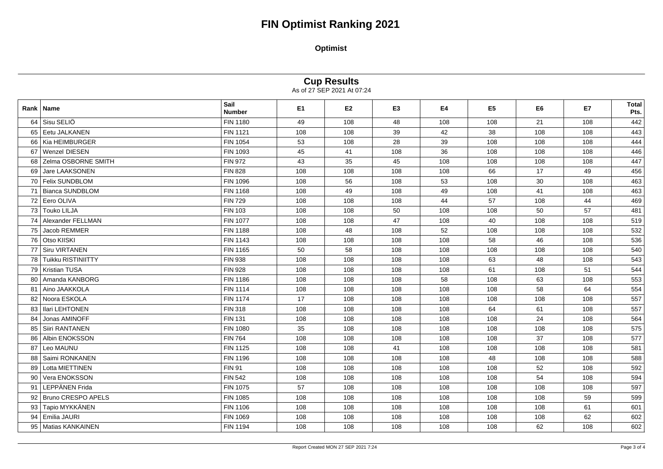# **FIN Optimist Ranking 2021**

**Optimist** 

**Cup Results**<br>As of 27 SEP 2021 At 07:24

|    | <b>Rank   Name</b>        | Sail<br><b>Number</b> | E <sub>1</sub> | E <sub>2</sub> | E <sub>3</sub> | E4  | E <sub>5</sub> | E6  | <b>E7</b> | Total<br>Pts. |
|----|---------------------------|-----------------------|----------------|----------------|----------------|-----|----------------|-----|-----------|---------------|
| 64 | Sisu SELIÖ                | <b>FIN 1180</b>       | 49             | 108            | 48             | 108 | 108            | 21  | 108       | 442           |
| 65 | Eetu JALKANEN             | <b>FIN 1121</b>       | 108            | 108            | 39             | 42  | 38             | 108 | 108       | 443           |
|    | 66 Kia HEIMBURGER         | <b>FIN 1054</b>       | 53             | 108            | 28             | 39  | 108            | 108 | 108       | 444           |
| 67 | <b>Wenzel DIESEN</b>      | FIN 1093              | 45             | 41             | 108            | 36  | 108            | 108 | 108       | 446           |
| 68 | Zelma OSBORNE SMITH       | <b>FIN 972</b>        | 43             | 35             | 45             | 108 | 108            | 108 | 108       | 447           |
| 69 | Jare LAAKSONEN            | <b>FIN 828</b>        | 108            | 108            | 108            | 108 | 66             | 17  | 49        | 456           |
|    | 70 Felix SUNDBLOM         | <b>FIN 1096</b>       | 108            | 56             | 108            | 53  | 108            | 30  | 108       | 463           |
|    | 71 Bianca SUNDBLOM        | <b>FIN 1168</b>       | 108            | 49             | 108            | 49  | 108            | 41  | 108       | 463           |
|    | 72 Eero OLIVA             | <b>FIN 729</b>        | 108            | 108            | 108            | 44  | 57             | 108 | 44        | 469           |
| 73 | <b>Touko LILJA</b>        | <b>FIN 103</b>        | 108            | 108            | 50             | 108 | 108            | 50  | 57        | 481           |
| 74 | Alexander FELLMAN         | <b>FIN 1077</b>       | 108            | 108            | 47             | 108 | 40             | 108 | 108       | 519           |
| 75 | Jacob REMMER              | <b>FIN 1188</b>       | 108            | 48             | 108            | 52  | 108            | 108 | 108       | 532           |
| 76 | <b>Otso KIISKI</b>        | <b>FIN 1143</b>       | 108            | 108            | 108            | 108 | 58             | 46  | 108       | 536           |
| 77 | <b>Siru VIRTANEN</b>      | FIN 1165              | 50             | 58             | 108            | 108 | 108            | 108 | 108       | 540           |
| 78 | <b>Tuikku RISTINIITTY</b> | <b>FIN 938</b>        | 108            | 108            | 108            | 108 | 63             | 48  | 108       | 543           |
| 79 | <b>Kristian TUSA</b>      | <b>FIN 928</b>        | 108            | 108            | 108            | 108 | 61             | 108 | 51        | 544           |
| 80 | Amanda KANBORG            | FIN 1186              | 108            | 108            | 108            | 58  | 108            | 63  | 108       | 553           |
| 81 | Aino JAAKKOLA             | <b>FIN 1114</b>       | 108            | 108            | 108            | 108 | 108            | 58  | 64        | 554           |
| 82 | Noora ESKOLA              | <b>FIN 1174</b>       | 17             | 108            | 108            | 108 | 108            | 108 | 108       | 557           |
| 83 | Ilari LEHTONEN            | <b>FIN 318</b>        | 108            | 108            | 108            | 108 | 64             | 61  | 108       | 557           |
| 84 | Jonas AMINOFF             | <b>FIN 131</b>        | 108            | 108            | 108            | 108 | 108            | 24  | 108       | 564           |
| 85 | Siiri RANTANEN            | <b>FIN 1080</b>       | 35             | 108            | 108            | 108 | 108            | 108 | 108       | 575           |
| 86 | <b>Albin ENOKSSON</b>     | <b>FIN 764</b>        | 108            | 108            | 108            | 108 | 108            | 37  | 108       | 577           |
| 87 | Leo MAUNU                 | <b>FIN 1125</b>       | 108            | 108            | 41             | 108 | 108            | 108 | 108       | 581           |
| 88 | Saimi RONKANEN            | <b>FIN 1196</b>       | 108            | 108            | 108            | 108 | 48             | 108 | 108       | 588           |
| 89 | Lotta MIETTINEN           | <b>FIN 91</b>         | 108            | 108            | 108            | 108 | 108            | 52  | 108       | 592           |
| 90 | Vera ENOKSSON             | <b>FIN 542</b>        | 108            | 108            | 108            | 108 | 108            | 54  | 108       | 594           |
| 91 | LEPPÄNEN Frida            | <b>FIN 1075</b>       | 57             | 108            | 108            | 108 | 108            | 108 | 108       | 597           |
|    | 92 Bruno CRESPO APELS     | FIN 1085              | 108            | 108            | 108            | 108 | 108            | 108 | 59        | 599           |
| 93 | Tapio MYKKÄNEN            | <b>FIN 1106</b>       | 108            | 108            | 108            | 108 | 108            | 108 | 61        | 601           |
| 94 | Emilia JAURI              | FIN 1069              | 108            | 108            | 108            | 108 | 108            | 108 | 62        | 602           |
| 95 | <b>Matias KANKAINEN</b>   | <b>FIN 1194</b>       | 108            | 108            | 108            | 108 | 108            | 62  | 108       | 602           |